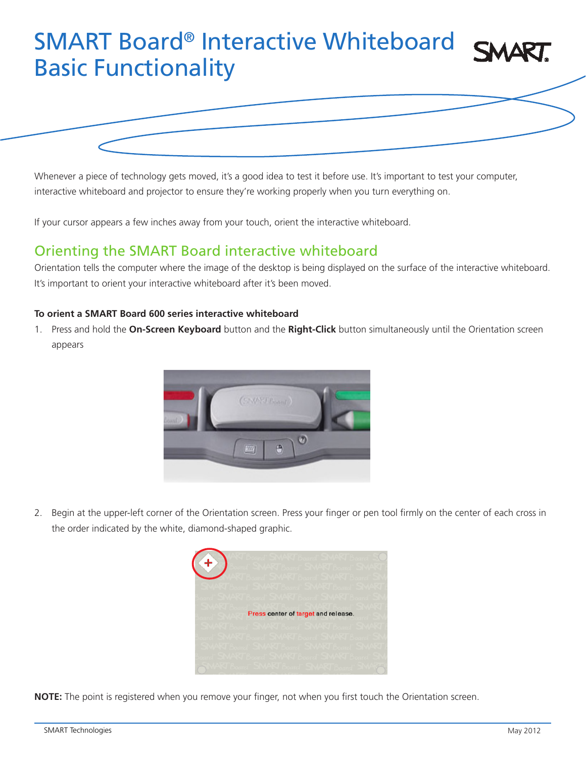# SMART Board® Interactive Whiteboard Basic Functionality



interactive whiteboard and projector to ensure they're working properly when you turn everything on.

If your cursor appears a few inches away from your touch, orient the interactive whiteboard.

## Orienting the SMART Board interactive whiteboard

Orientation tells the computer where the image of the desktop is being displayed on the surface of the interactive whiteboard. It's important to orient your interactive whiteboard after it's been moved.

#### **To orient a SMART Board 600 series interactive whiteboard**

1. Press and hold the **On-Screen Keyboard** button and the **Right-Click** button simultaneously until the Orientation screen appears



2. Begin at the upper-left corner of the Orientation screen. Press your finger or pen tool firmly on the center of each cross in the order indicated by the white, diamond-shaped graphic.



**NOTE:** The point is registered when you remove your finger, not when you first touch the Orientation screen.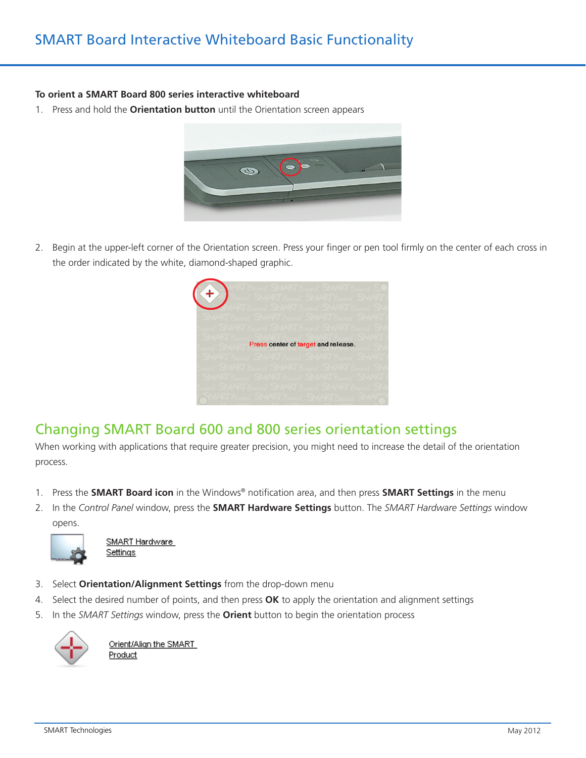### **To orient a SMART Board 800 series interactive whiteboard**

1. Press and hold the **Orientation button** until the Orientation screen appears



2. Begin at the upper-left corner of the Orientation screen. Press your finger or pen tool firmly on the center of each cross in the order indicated by the white, diamond-shaped graphic.

| Press center of target and release. |
|-------------------------------------|
|                                     |
|                                     |

## Changing SMART Board 600 and 800 series orientation settings

When working with applications that require greater precision, you might need to increase the detail of the orientation process.

- 1. Press the **SMART Board icon** in the Windows® notification area, and then press **SMART Settings** in the menu
- 2. In the *Control Panel* window, press the **SMART Hardware Settings** button. The *SMART Hardware Settings* window opens.



SMART Hardware <u>Settings</u>

- 3. Select **Orientation/Alignment Settings** from the drop-down menu
- 4. Select the desired number of points, and then press **OK** to apply the orientation and alignment settings
- 5. In the *SMART Settings* window, press the **Orient** button to begin the orientation process



Orient/Align the SMART Product